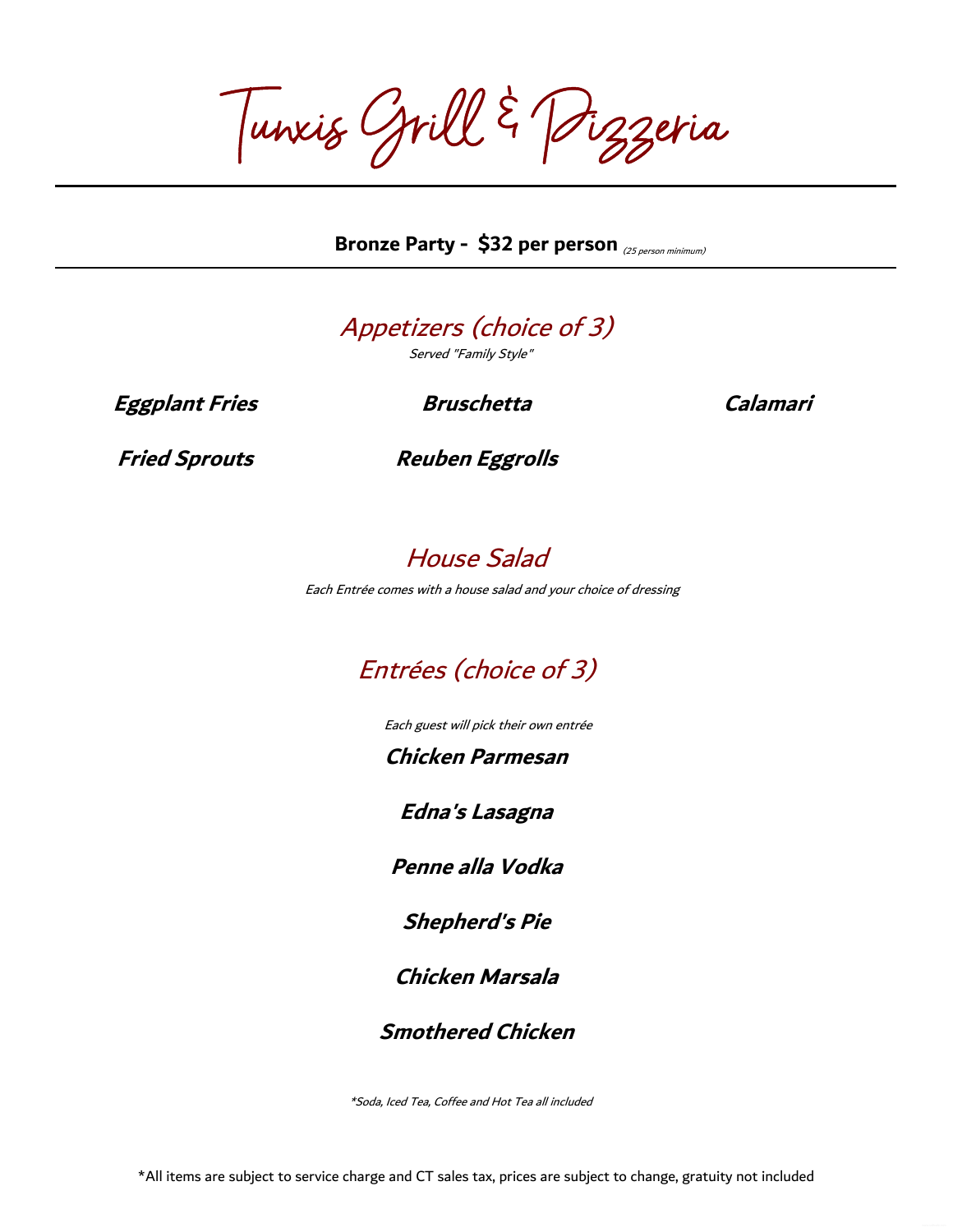Tunxis Grill & Pizzeria

Bronze Party - \$32 per person <sub>(25 person minimum)</sub>



Served "Family Style"

**Eggplant Fries Bruschetta Calamari**

**Fried Sprouts Reuben Eggrolls**

## House Salad

Each Entrée comes with a house salad and your choice of dressing

## Entrées (choice of 3)

Each guest will pick their own entrée

**Chicken Parmesan**

**Edna's Lasagna**

**Penne alla Vodka**

**Shepherd's Pie**

**Chicken Marsala**

**Smothered Chicken**

\*Soda, Iced Tea, Coffee and Hot Tea all included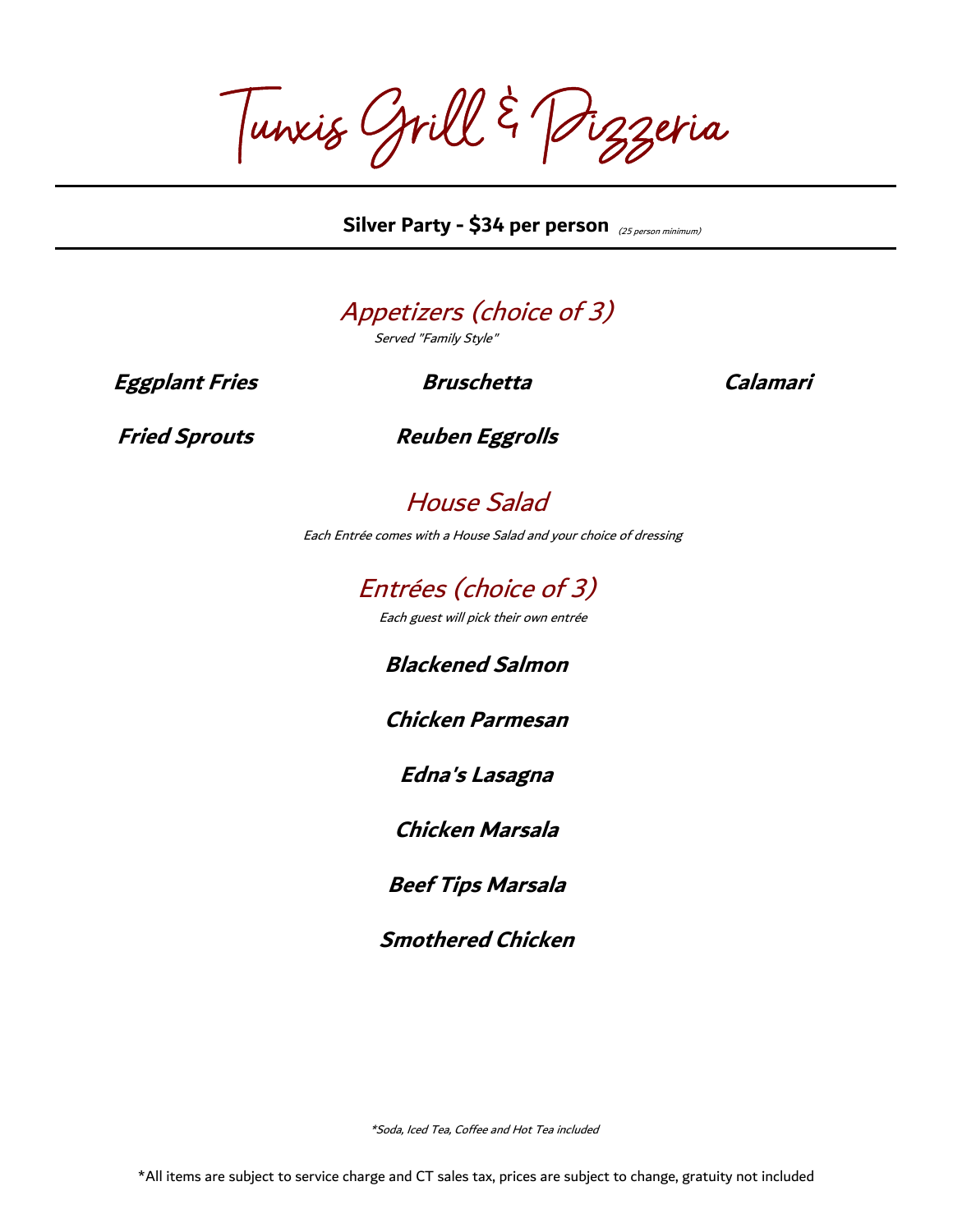Tunxis Grill & Pizzeria

(25 person minimum) **Silver Party - \$34 per person**

## Appetizers (choice of 3)

Served "Family Style"

**Eggplant Fries Bruschetta Calamari**

**Fried Sprouts Reuben Eggrolls**

House Salad

Each Entrée comes with a House Salad and your choice of dressing

Entrées (choice of 3)

Each guest will pick their own entrée

**Blackened Salmon**

**Chicken Parmesan**

**Edna's Lasagna**

**Chicken Marsala**

**Beef Tips Marsala**

**Smothered Chicken**

\*Soda, Iced Tea, Coffee and Hot Tea included